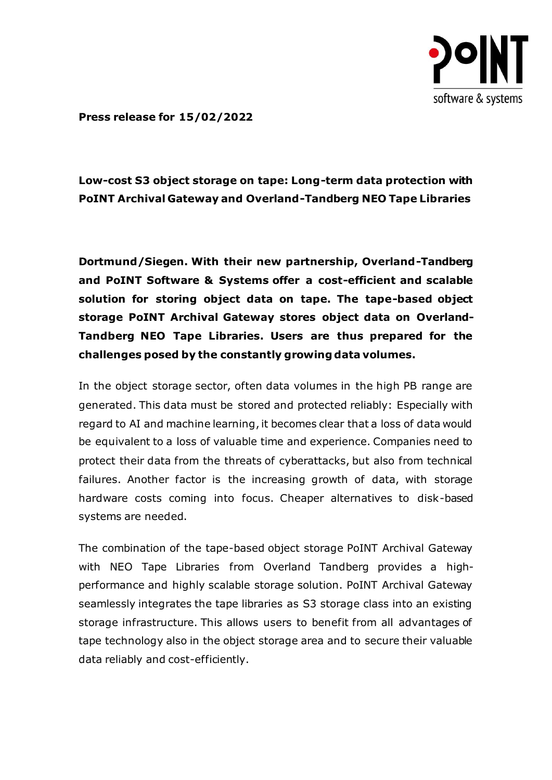

**Press release for 15/02/2022**

# **Low-cost S3 object storage on tape: Long-term data protection with PoINT Archival Gateway and Overland-Tandberg NEO Tape Libraries**

**Dortmund/Siegen. With their new partnership, Overland-Tandberg and PoINT Software & Systems offer a cost-efficient and scalable solution for storing object data on tape. The tape-based object storage PoINT Archival Gateway stores object data on Overland-Tandberg NEO Tape Libraries. Users are thus prepared for the challenges posed by the constantly growing data volumes.**

In the object storage sector, often data volumes in the high PB range are generated. This data must be stored and protected reliably: Especially with regard to AI and machine learning, it becomes clear that a loss of data would be equivalent to a loss of valuable time and experience. Companies need to protect their data from the threats of cyberattacks, but also from technical failures. Another factor is the increasing growth of data, with storage hardware costs coming into focus. Cheaper alternatives to disk-based systems are needed.

The combination of the tape-based object storage PoINT Archival Gateway with NEO Tape Libraries from Overland Tandberg provides a highperformance and highly scalable storage solution. PoINT Archival Gateway seamlessly integrates the tape libraries as S3 storage class into an existing storage infrastructure. This allows users to benefit from all advantages of tape technology also in the object storage area and to secure their valuable data reliably and cost-efficiently.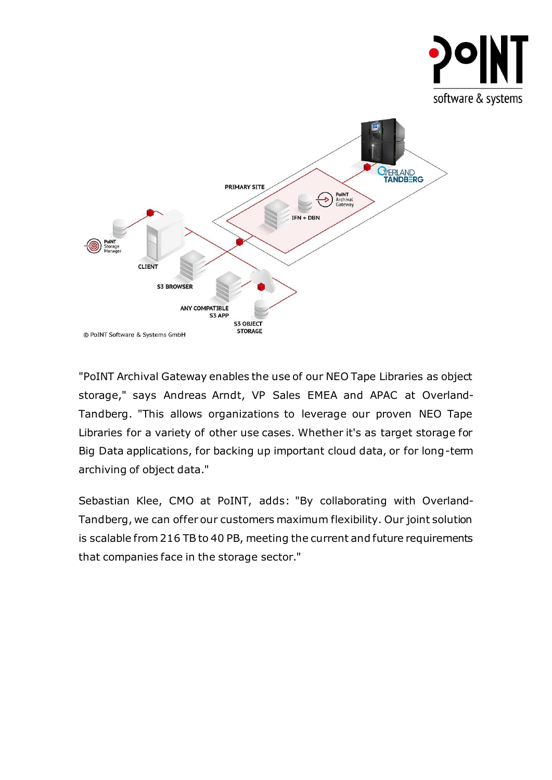

"PoINT Archival Gateway enables the use of our NEO Tape Libraries as object storage," says Andreas Arndt, VP Sales EMEA and APAC at Overland-Tandberg. "This allows organizations to leverage our proven NEO Tape Libraries for a variety of other use cases. Whether it's as target storage for Big Data applications, for backing up important cloud data, or for long-term archiving of object data."

Sebastian Klee, CMO at PoINT, adds: "By collaborating with Overland-Tandberg, we can offer our customers maximum flexibility. Our joint solution is scalable from 216 TB to 40 PB, meeting the current and future requirements that companies face in the storage sector."